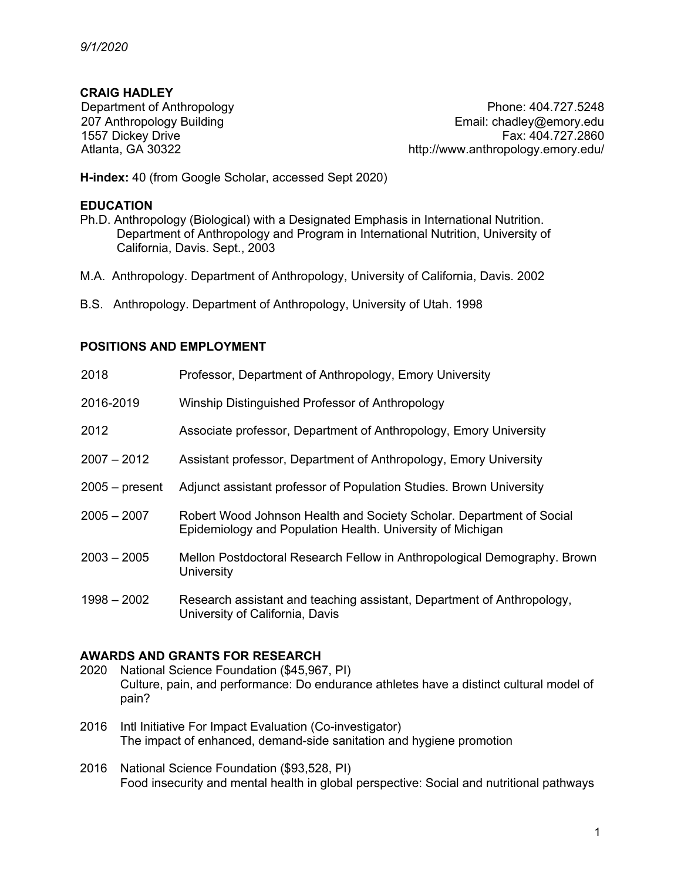# **CRAIG HADLEY**

Department of Anthropology 207 Anthropology Building 1557 Dickey Drive Atlanta, GA 30322

Phone: 404.727.5248 Email: chadley@emory.edu Fax: 404.727.2860 http://www.anthropology.emory.edu/

**H-index:** 40 (from Google Scholar, accessed Sept 2020)

#### **EDUCATION**

- Ph.D. Anthropology (Biological) with a Designated Emphasis in International Nutrition. Department of Anthropology and Program in International Nutrition, University of California, Davis. Sept., 2003
- M.A. Anthropology. Department of Anthropology, University of California, Davis. 2002
- B.S. Anthropology. Department of Anthropology, University of Utah. 1998

## **POSITIONS AND EMPLOYMENT**

| 2018             | Professor, Department of Anthropology, Emory University                                                                            |
|------------------|------------------------------------------------------------------------------------------------------------------------------------|
| 2016-2019        | Winship Distinguished Professor of Anthropology                                                                                    |
| 2012             | Associate professor, Department of Anthropology, Emory University                                                                  |
| $2007 - 2012$    | Assistant professor, Department of Anthropology, Emory University                                                                  |
| $2005 - present$ | Adjunct assistant professor of Population Studies. Brown University                                                                |
| $2005 - 2007$    | Robert Wood Johnson Health and Society Scholar. Department of Social<br>Epidemiology and Population Health. University of Michigan |
| $2003 - 2005$    | Mellon Postdoctoral Research Fellow in Anthropological Demography. Brown<br>University                                             |
| $1998 - 2002$    | Research assistant and teaching assistant, Department of Anthropology,<br>University of California, Davis                          |

# **AWARDS AND GRANTS FOR RESEARCH**

- 2020 National Science Foundation (\$45,967, PI) Culture, pain, and performance: Do endurance athletes have a distinct cultural model of pain?
- 2016 Intl Initiative For Impact Evaluation (Co-investigator) The impact of enhanced, demand-side sanitation and hygiene promotion
- 2016 National Science Foundation (\$93,528, PI) Food insecurity and mental health in global perspective: Social and nutritional pathways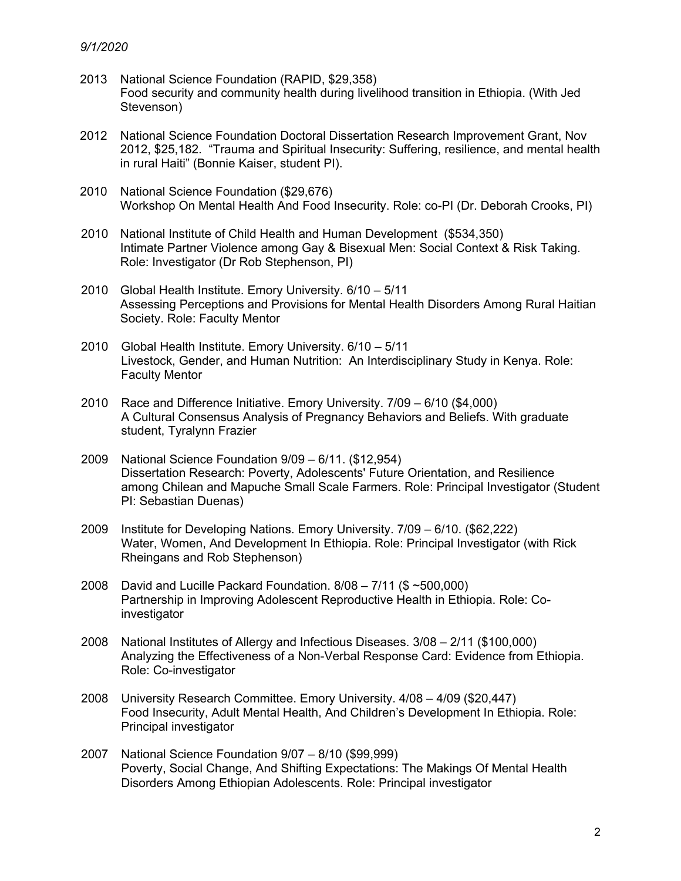- 2013 National Science Foundation (RAPID, \$29,358) Food security and community health during livelihood transition in Ethiopia. (With Jed Stevenson)
- 2012 National Science Foundation Doctoral Dissertation Research Improvement Grant, Nov 2012, \$25,182. "Trauma and Spiritual Insecurity: Suffering, resilience, and mental health in rural Haiti" (Bonnie Kaiser, student PI).
- 2010 National Science Foundation (\$29,676) Workshop On Mental Health And Food Insecurity. Role: co-PI (Dr. Deborah Crooks, PI)
- 2010 National Institute of Child Health and Human Development (\$534,350) Intimate Partner Violence among Gay & Bisexual Men: Social Context & Risk Taking. Role: Investigator (Dr Rob Stephenson, PI)
- 2010 Global Health Institute. Emory University. 6/10 5/11 Assessing Perceptions and Provisions for Mental Health Disorders Among Rural Haitian Society. Role: Faculty Mentor
- 2010 Global Health Institute. Emory University. 6/10 5/11 Livestock, Gender, and Human Nutrition: An Interdisciplinary Study in Kenya. Role: Faculty Mentor
- 2010 Race and Difference Initiative. Emory University. 7/09 6/10 (\$4,000) A Cultural Consensus Analysis of Pregnancy Behaviors and Beliefs. With graduate student, Tyralynn Frazier
- 2009 National Science Foundation 9/09 6/11. (\$12,954) Dissertation Research: Poverty, Adolescents' Future Orientation, and Resilience among Chilean and Mapuche Small Scale Farmers. Role: Principal Investigator (Student PI: Sebastian Duenas)
- 2009 Institute for Developing Nations. Emory University. 7/09 6/10. (\$62,222) Water, Women, And Development In Ethiopia. Role: Principal Investigator (with Rick Rheingans and Rob Stephenson)
- 2008 David and Lucille Packard Foundation. 8/08 7/11 (\$ ~500,000) Partnership in Improving Adolescent Reproductive Health in Ethiopia. Role: Coinvestigator
- 2008 National Institutes of Allergy and Infectious Diseases. 3/08 2/11 (\$100,000) Analyzing the Effectiveness of a Non-Verbal Response Card: Evidence from Ethiopia. Role: Co-investigator
- 2008 University Research Committee. Emory University. 4/08 4/09 (\$20,447) Food Insecurity, Adult Mental Health, And Children's Development In Ethiopia. Role: Principal investigator
- 2007 National Science Foundation 9/07 8/10 (\$99,999) Poverty, Social Change, And Shifting Expectations: The Makings Of Mental Health Disorders Among Ethiopian Adolescents. Role: Principal investigator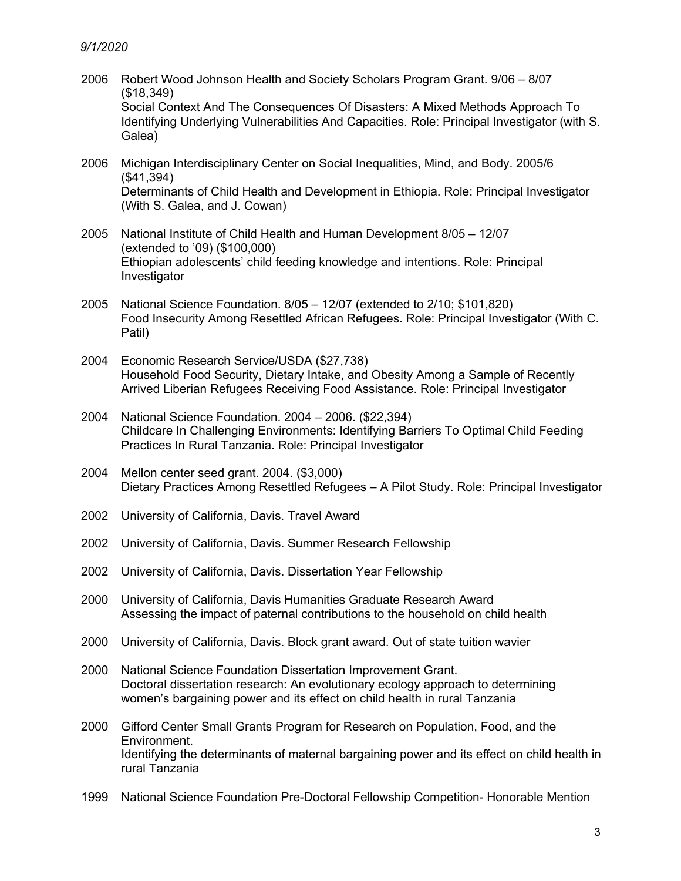- 2006 Robert Wood Johnson Health and Society Scholars Program Grant. 9/06 8/07 (\$18,349) Social Context And The Consequences Of Disasters: A Mixed Methods Approach To Identifying Underlying Vulnerabilities And Capacities. Role: Principal Investigator (with S. Galea)
- 2006 Michigan Interdisciplinary Center on Social Inequalities, Mind, and Body. 2005/6 (\$41,394) Determinants of Child Health and Development in Ethiopia. Role: Principal Investigator (With S. Galea, and J. Cowan)
- 2005 National Institute of Child Health and Human Development 8/05 12/07 (extended to '09) (\$100,000) Ethiopian adolescents' child feeding knowledge and intentions. Role: Principal Investigator
- 2005 National Science Foundation. 8/05 12/07 (extended to 2/10; \$101,820) Food Insecurity Among Resettled African Refugees. Role: Principal Investigator (With C. Patil)
- 2004 Economic Research Service/USDA (\$27,738) Household Food Security, Dietary Intake, and Obesity Among a Sample of Recently Arrived Liberian Refugees Receiving Food Assistance. Role: Principal Investigator
- 2004 National Science Foundation. 2004 2006. (\$22,394) Childcare In Challenging Environments: Identifying Barriers To Optimal Child Feeding Practices In Rural Tanzania. Role: Principal Investigator
- 2004 Mellon center seed grant. 2004. (\$3,000) Dietary Practices Among Resettled Refugees – A Pilot Study. Role: Principal Investigator
- 2002 University of California, Davis. Travel Award
- 2002 University of California, Davis. Summer Research Fellowship
- 2002 University of California, Davis. Dissertation Year Fellowship
- 2000 University of California, Davis Humanities Graduate Research Award Assessing the impact of paternal contributions to the household on child health
- 2000 University of California, Davis. Block grant award. Out of state tuition wavier
- 2000 National Science Foundation Dissertation Improvement Grant. Doctoral dissertation research: An evolutionary ecology approach to determining women's bargaining power and its effect on child health in rural Tanzania
- 2000 Gifford Center Small Grants Program for Research on Population, Food, and the Environment. Identifying the determinants of maternal bargaining power and its effect on child health in rural Tanzania
- 1999 National Science Foundation Pre-Doctoral Fellowship Competition- Honorable Mention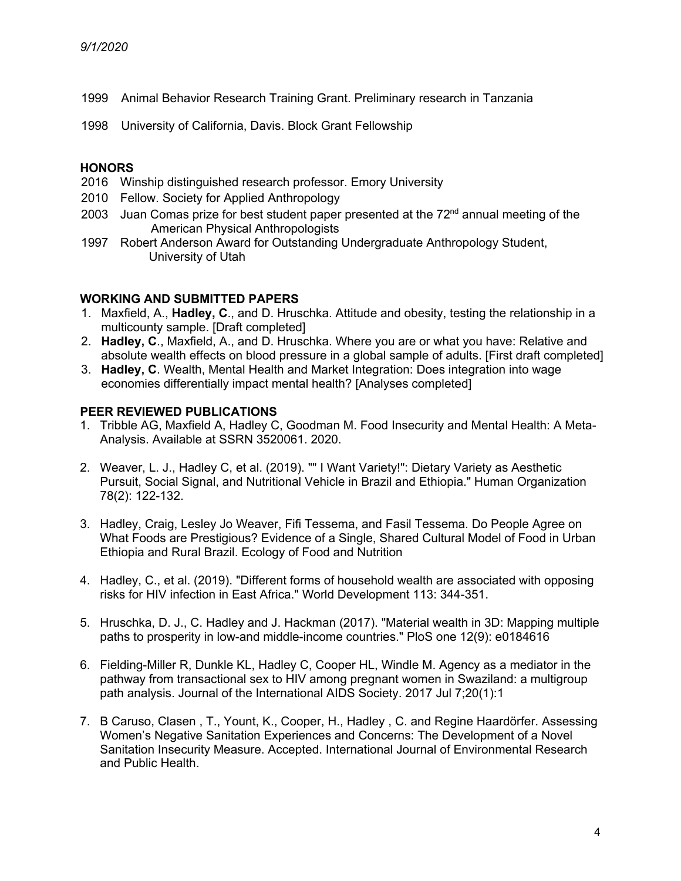- 1999 Animal Behavior Research Training Grant. Preliminary research in Tanzania
- 1998 University of California, Davis. Block Grant Fellowship

#### **HONORS**

- 2016 Winship distinguished research professor. Emory University
- 2010 Fellow. Society for Applied Anthropology
- 2003 Juan Comas prize for best student paper presented at the  $72<sup>nd</sup>$  annual meeting of the American Physical Anthropologists
- 1997 Robert Anderson Award for Outstanding Undergraduate Anthropology Student, University of Utah

## **WORKING AND SUBMITTED PAPERS**

- 1. Maxfield, A., **Hadley, C**., and D. Hruschka. Attitude and obesity, testing the relationship in a multicounty sample. [Draft completed]
- 2. **Hadley, C**., Maxfield, A., and D. Hruschka. Where you are or what you have: Relative and absolute wealth effects on blood pressure in a global sample of adults. [First draft completed]
- 3. **Hadley, C**. Wealth, Mental Health and Market Integration: Does integration into wage economies differentially impact mental health? [Analyses completed]

### **PEER REVIEWED PUBLICATIONS**

- 1. Tribble AG, Maxfield A, Hadley C, Goodman M. Food Insecurity and Mental Health: A Meta-Analysis. Available at SSRN 3520061. 2020.
- 2. Weaver, L. J., Hadley C, et al. (2019). "" I Want Variety!": Dietary Variety as Aesthetic Pursuit, Social Signal, and Nutritional Vehicle in Brazil and Ethiopia." Human Organization 78(2): 122-132.
- 3. Hadley, Craig, Lesley Jo Weaver, Fifi Tessema, and Fasil Tessema. Do People Agree on What Foods are Prestigious? Evidence of a Single, Shared Cultural Model of Food in Urban Ethiopia and Rural Brazil. Ecology of Food and Nutrition
- 4. Hadley, C., et al. (2019). "Different forms of household wealth are associated with opposing risks for HIV infection in East Africa." World Development 113: 344-351.
- 5. Hruschka, D. J., C. Hadley and J. Hackman (2017). "Material wealth in 3D: Mapping multiple paths to prosperity in low-and middle-income countries." PloS one 12(9): e0184616
- 6. Fielding-Miller R, Dunkle KL, Hadley C, Cooper HL, Windle M. Agency as a mediator in the pathway from transactional sex to HIV among pregnant women in Swaziland: a multigroup path analysis. Journal of the International AIDS Society. 2017 Jul 7;20(1):1
- 7. B Caruso, Clasen , T., Yount, K., Cooper, H., Hadley , C. and Regine Haardörfer. Assessing Women's Negative Sanitation Experiences and Concerns: The Development of a Novel Sanitation Insecurity Measure. Accepted. International Journal of Environmental Research and Public Health.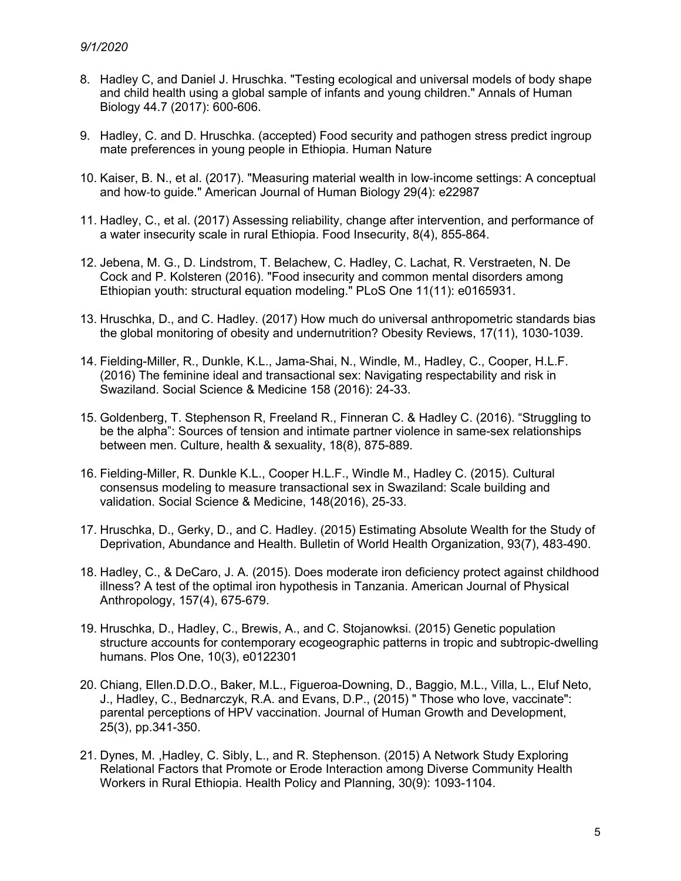- 8. Hadley C, and Daniel J. Hruschka. "Testing ecological and universal models of body shape and child health using a global sample of infants and young children." Annals of Human Biology 44.7 (2017): 600-606.
- 9. Hadley, C. and D. Hruschka. (accepted) Food security and pathogen stress predict ingroup mate preferences in young people in Ethiopia. Human Nature
- 10. Kaiser, B. N., et al. (2017). "Measuring material wealth in low-income settings: A conceptual and how-to guide." American Journal of Human Biology 29(4): e22987
- 11. Hadley, C., et al. (2017) Assessing reliability, change after intervention, and performance of a water insecurity scale in rural Ethiopia. Food Insecurity, 8(4), 855-864.
- 12. Jebena, M. G., D. Lindstrom, T. Belachew, C. Hadley, C. Lachat, R. Verstraeten, N. De Cock and P. Kolsteren (2016). "Food insecurity and common mental disorders among Ethiopian youth: structural equation modeling." PLoS One 11(11): e0165931.
- 13. Hruschka, D., and C. Hadley. (2017) How much do universal anthropometric standards bias the global monitoring of obesity and undernutrition? Obesity Reviews, 17(11), 1030-1039.
- 14. Fielding-Miller, R., Dunkle, K.L., Jama-Shai, N., Windle, M., Hadley, C., Cooper, H.L.F. (2016) The feminine ideal and transactional sex: Navigating respectability and risk in Swaziland. Social Science & Medicine 158 (2016): 24-33.
- 15. Goldenberg, T. Stephenson R, Freeland R., Finneran C. & Hadley C. (2016). "Struggling to be the alpha": Sources of tension and intimate partner violence in same-sex relationships between men. Culture, health & sexuality, 18(8), 875-889.
- 16. Fielding-Miller, R. Dunkle K.L., Cooper H.L.F., Windle M., Hadley C. (2015). Cultural consensus modeling to measure transactional sex in Swaziland: Scale building and validation. Social Science & Medicine, 148(2016), 25-33.
- 17. Hruschka, D., Gerky, D., and C. Hadley. (2015) Estimating Absolute Wealth for the Study of Deprivation, Abundance and Health. Bulletin of World Health Organization, 93(7), 483-490.
- 18. Hadley, C., & DeCaro, J. A. (2015). Does moderate iron deficiency protect against childhood illness? A test of the optimal iron hypothesis in Tanzania. American Journal of Physical Anthropology, 157(4), 675-679.
- 19. Hruschka, D., Hadley, C., Brewis, A., and C. Stojanowksi. (2015) Genetic population structure accounts for contemporary ecogeographic patterns in tropic and subtropic-dwelling humans. Plos One, 10(3), e0122301
- 20. Chiang, Ellen.D.D.O., Baker, M.L., Figueroa-Downing, D., Baggio, M.L., Villa, L., Eluf Neto, J., Hadley, C., Bednarczyk, R.A. and Evans, D.P., (2015) " Those who love, vaccinate": parental perceptions of HPV vaccination. Journal of Human Growth and Development, 25(3), pp.341-350.
- 21. Dynes, M. ,Hadley, C. Sibly, L., and R. Stephenson. (2015) A Network Study Exploring Relational Factors that Promote or Erode Interaction among Diverse Community Health Workers in Rural Ethiopia. Health Policy and Planning, 30(9): 1093-1104.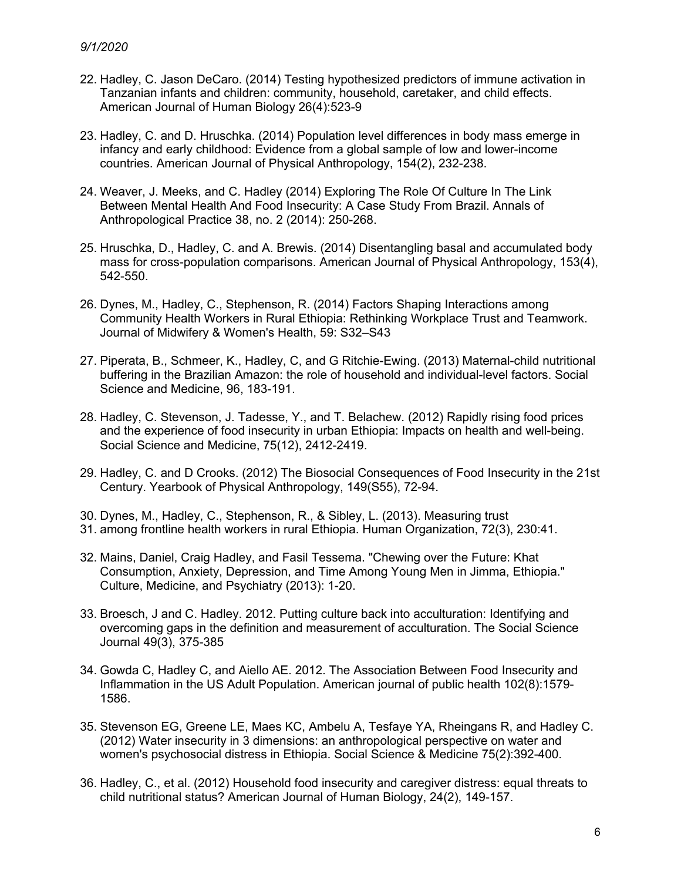- 22. Hadley, C. Jason DeCaro. (2014) Testing hypothesized predictors of immune activation in Tanzanian infants and children: community, household, caretaker, and child effects. American Journal of Human Biology 26(4):523-9
- 23. Hadley, C. and D. Hruschka. (2014) Population level differences in body mass emerge in infancy and early childhood: Evidence from a global sample of low and lower-income countries. American Journal of Physical Anthropology, 154(2), 232-238.
- 24. Weaver, J. Meeks, and C. Hadley (2014) Exploring The Role Of Culture In The Link Between Mental Health And Food Insecurity: A Case Study From Brazil. Annals of Anthropological Practice 38, no. 2 (2014): 250-268.
- 25. Hruschka, D., Hadley, C. and A. Brewis. (2014) Disentangling basal and accumulated body mass for cross-population comparisons. American Journal of Physical Anthropology, 153(4), 542-550.
- 26. Dynes, M., Hadley, C., Stephenson, R. (2014) Factors Shaping Interactions among Community Health Workers in Rural Ethiopia: Rethinking Workplace Trust and Teamwork. Journal of Midwifery & Women's Health, 59: S32–S43
- 27. Piperata, B., Schmeer, K., Hadley, C, and G Ritchie-Ewing. (2013) Maternal-child nutritional buffering in the Brazilian Amazon: the role of household and individual-level factors. Social Science and Medicine, 96, 183-191.
- 28. Hadley, C. Stevenson, J. Tadesse, Y., and T. Belachew. (2012) Rapidly rising food prices and the experience of food insecurity in urban Ethiopia: Impacts on health and well-being. Social Science and Medicine, 75(12), 2412-2419.
- 29. Hadley, C. and D Crooks. (2012) The Biosocial Consequences of Food Insecurity in the 21st Century. Yearbook of Physical Anthropology, 149(S55), 72-94.
- 30. Dynes, M., Hadley, C., Stephenson, R., & Sibley, L. (2013). Measuring trust
- 31. among frontline health workers in rural Ethiopia. Human Organization, 72(3), 230:41.
- 32. Mains, Daniel, Craig Hadley, and Fasil Tessema. "Chewing over the Future: Khat Consumption, Anxiety, Depression, and Time Among Young Men in Jimma, Ethiopia." Culture, Medicine, and Psychiatry (2013): 1-20.
- 33. Broesch, J and C. Hadley. 2012. Putting culture back into acculturation: Identifying and overcoming gaps in the definition and measurement of acculturation. The Social Science Journal 49(3), 375-385
- 34. Gowda C, Hadley C, and Aiello AE. 2012. The Association Between Food Insecurity and Inflammation in the US Adult Population. American journal of public health 102(8):1579- 1586.
- 35. Stevenson EG, Greene LE, Maes KC, Ambelu A, Tesfaye YA, Rheingans R, and Hadley C. (2012) Water insecurity in 3 dimensions: an anthropological perspective on water and women's psychosocial distress in Ethiopia. Social Science & Medicine 75(2):392-400.
- 36. Hadley, C., et al. (2012) Household food insecurity and caregiver distress: equal threats to child nutritional status? American Journal of Human Biology, 24(2), 149-157.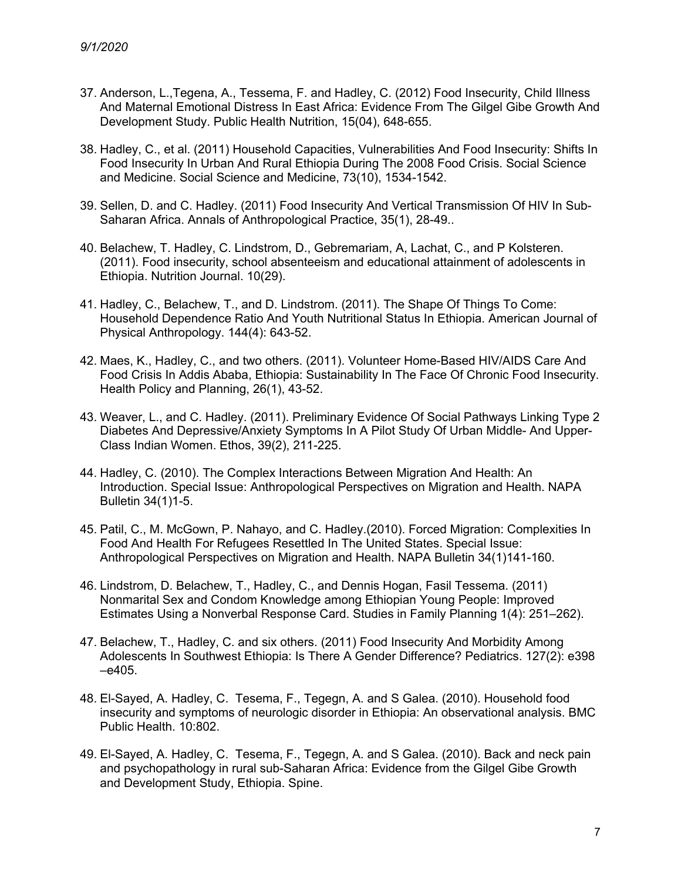- 37. Anderson, L.,Tegena, A., Tessema, F. and Hadley, C. (2012) Food Insecurity, Child Illness And Maternal Emotional Distress In East Africa: Evidence From The Gilgel Gibe Growth And Development Study. Public Health Nutrition, 15(04), 648-655.
- 38. Hadley, C., et al. (2011) Household Capacities, Vulnerabilities And Food Insecurity: Shifts In Food Insecurity In Urban And Rural Ethiopia During The 2008 Food Crisis. Social Science and Medicine. Social Science and Medicine, 73(10), 1534-1542.
- 39. Sellen, D. and C. Hadley. (2011) Food Insecurity And Vertical Transmission Of HIV In Sub-Saharan Africa. Annals of Anthropological Practice, 35(1), 28-49..
- 40. Belachew, T. Hadley, C. Lindstrom, D., Gebremariam, A, Lachat, C., and P Kolsteren. (2011). Food insecurity, school absenteeism and educational attainment of adolescents in Ethiopia. Nutrition Journal. 10(29).
- 41. Hadley, C., Belachew, T., and D. Lindstrom. (2011). The Shape Of Things To Come: Household Dependence Ratio And Youth Nutritional Status In Ethiopia. American Journal of Physical Anthropology. 144(4): 643-52.
- 42. Maes, K., Hadley, C., and two others. (2011). Volunteer Home-Based HIV/AIDS Care And Food Crisis In Addis Ababa, Ethiopia: Sustainability In The Face Of Chronic Food Insecurity. Health Policy and Planning, 26(1), 43-52.
- 43. Weaver, L., and C. Hadley. (2011). Preliminary Evidence Of Social Pathways Linking Type 2 Diabetes And Depressive/Anxiety Symptoms In A Pilot Study Of Urban Middle- And Upper-Class Indian Women. Ethos, 39(2), 211-225.
- 44. Hadley, C. (2010). The Complex Interactions Between Migration And Health: An Introduction. Special Issue: Anthropological Perspectives on Migration and Health. NAPA Bulletin 34(1)1-5.
- 45. Patil, C., M. McGown, P. Nahayo, and C. Hadley.(2010). Forced Migration: Complexities In Food And Health For Refugees Resettled In The United States. Special Issue: Anthropological Perspectives on Migration and Health. NAPA Bulletin 34(1)141-160.
- 46. Lindstrom, D. Belachew, T., Hadley, C., and Dennis Hogan, Fasil Tessema. (2011) Nonmarital Sex and Condom Knowledge among Ethiopian Young People: Improved Estimates Using a Nonverbal Response Card. Studies in Family Planning 1(4): 251–262).
- 47. Belachew, T., Hadley, C. and six others. (2011) Food Insecurity And Morbidity Among Adolescents In Southwest Ethiopia: Is There A Gender Difference? Pediatrics. 127(2): e398 –e405.
- 48. El-Sayed, A. Hadley, C. Tesema, F., Tegegn, A. and S Galea. (2010). Household food insecurity and symptoms of neurologic disorder in Ethiopia: An observational analysis. BMC Public Health. 10:802.
- 49. El-Sayed, A. Hadley, C. Tesema, F., Tegegn, A. and S Galea. (2010). Back and neck pain and psychopathology in rural sub-Saharan Africa: Evidence from the Gilgel Gibe Growth and Development Study, Ethiopia. Spine.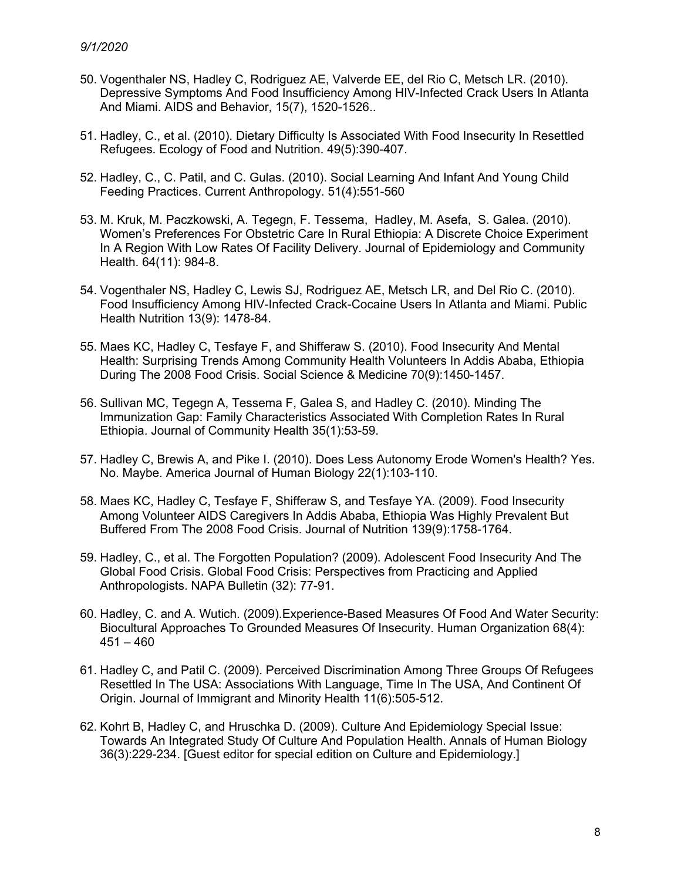- 50. Vogenthaler NS, Hadley C, Rodriguez AE, Valverde EE, del Rio C, Metsch LR. (2010). Depressive Symptoms And Food Insufficiency Among HIV-Infected Crack Users In Atlanta And Miami. AIDS and Behavior, 15(7), 1520-1526..
- 51. Hadley, C., et al. (2010). Dietary Difficulty Is Associated With Food Insecurity In Resettled Refugees. Ecology of Food and Nutrition. 49(5):390-407.
- 52. Hadley, C., C. Patil, and C. Gulas. (2010). Social Learning And Infant And Young Child Feeding Practices. Current Anthropology. 51(4):551-560
- 53. M. Kruk, M. Paczkowski, A. Tegegn, F. Tessema, Hadley, M. Asefa, S. Galea. (2010). Women's Preferences For Obstetric Care In Rural Ethiopia: A Discrete Choice Experiment In A Region With Low Rates Of Facility Delivery. Journal of Epidemiology and Community Health. 64(11): 984-8.
- 54. Vogenthaler NS, Hadley C, Lewis SJ, Rodriguez AE, Metsch LR, and Del Rio C. (2010). Food Insufficiency Among HIV-Infected Crack-Cocaine Users In Atlanta and Miami. Public Health Nutrition 13(9): 1478-84.
- 55. Maes KC, Hadley C, Tesfaye F, and Shifferaw S. (2010). Food Insecurity And Mental Health: Surprising Trends Among Community Health Volunteers In Addis Ababa, Ethiopia During The 2008 Food Crisis. Social Science & Medicine 70(9):1450-1457.
- 56. Sullivan MC, Tegegn A, Tessema F, Galea S, and Hadley C. (2010). Minding The Immunization Gap: Family Characteristics Associated With Completion Rates In Rural Ethiopia. Journal of Community Health 35(1):53-59.
- 57. Hadley C, Brewis A, and Pike I. (2010). Does Less Autonomy Erode Women's Health? Yes. No. Maybe. America Journal of Human Biology 22(1):103-110.
- 58. Maes KC, Hadley C, Tesfaye F, Shifferaw S, and Tesfaye YA. (2009). Food Insecurity Among Volunteer AIDS Caregivers In Addis Ababa, Ethiopia Was Highly Prevalent But Buffered From The 2008 Food Crisis. Journal of Nutrition 139(9):1758-1764.
- 59. Hadley, C., et al. The Forgotten Population? (2009). Adolescent Food Insecurity And The Global Food Crisis. Global Food Crisis: Perspectives from Practicing and Applied Anthropologists. NAPA Bulletin (32): 77-91.
- 60. Hadley, C. and A. Wutich. (2009).Experience-Based Measures Of Food And Water Security: Biocultural Approaches To Grounded Measures Of Insecurity. Human Organization 68(4):  $451 - 460$
- 61. Hadley C, and Patil C. (2009). Perceived Discrimination Among Three Groups Of Refugees Resettled In The USA: Associations With Language, Time In The USA, And Continent Of Origin. Journal of Immigrant and Minority Health 11(6):505-512.
- 62. Kohrt B, Hadley C, and Hruschka D. (2009). Culture And Epidemiology Special Issue: Towards An Integrated Study Of Culture And Population Health. Annals of Human Biology 36(3):229-234. [Guest editor for special edition on Culture and Epidemiology.]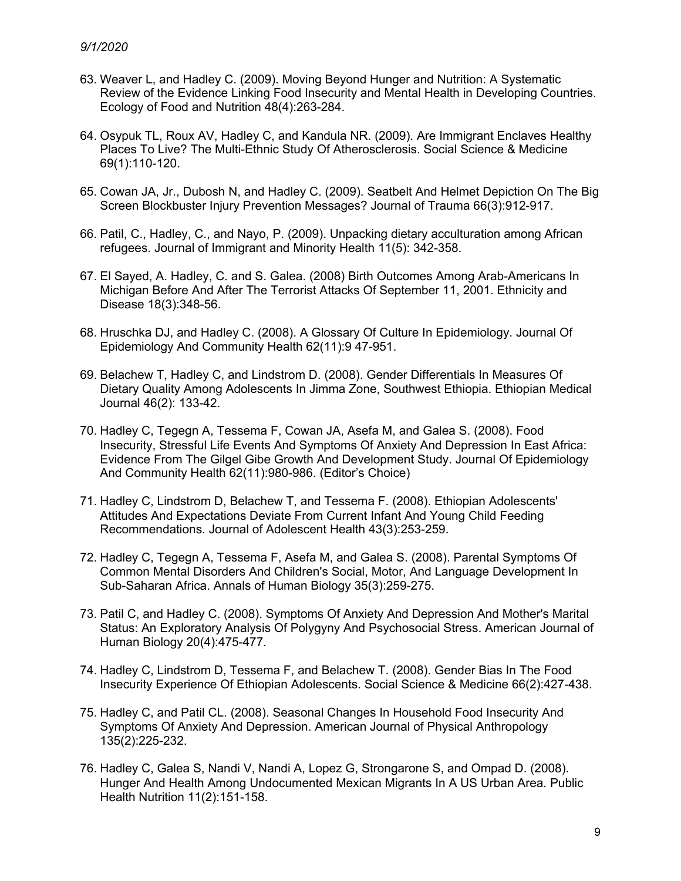- 63. Weaver L, and Hadley C. (2009). Moving Beyond Hunger and Nutrition: A Systematic Review of the Evidence Linking Food Insecurity and Mental Health in Developing Countries. Ecology of Food and Nutrition 48(4):263-284.
- 64. Osypuk TL, Roux AV, Hadley C, and Kandula NR. (2009). Are Immigrant Enclaves Healthy Places To Live? The Multi-Ethnic Study Of Atherosclerosis. Social Science & Medicine 69(1):110-120.
- 65. Cowan JA, Jr., Dubosh N, and Hadley C. (2009). Seatbelt And Helmet Depiction On The Big Screen Blockbuster Injury Prevention Messages? Journal of Trauma 66(3):912-917.
- 66. Patil, C., Hadley, C., and Nayo, P. (2009). Unpacking dietary acculturation among African refugees. Journal of Immigrant and Minority Health 11(5): 342-358.
- 67. El Sayed, A. Hadley, C. and S. Galea. (2008) Birth Outcomes Among Arab-Americans In Michigan Before And After The Terrorist Attacks Of September 11, 2001. Ethnicity and Disease 18(3):348-56.
- 68. Hruschka DJ, and Hadley C. (2008). A Glossary Of Culture In Epidemiology. Journal Of Epidemiology And Community Health 62(11):9 47-951.
- 69. Belachew T, Hadley C, and Lindstrom D. (2008). Gender Differentials In Measures Of Dietary Quality Among Adolescents In Jimma Zone, Southwest Ethiopia. Ethiopian Medical Journal 46(2): 133-42.
- 70. Hadley C, Tegegn A, Tessema F, Cowan JA, Asefa M, and Galea S. (2008). Food Insecurity, Stressful Life Events And Symptoms Of Anxiety And Depression In East Africa: Evidence From The Gilgel Gibe Growth And Development Study. Journal Of Epidemiology And Community Health 62(11):980-986. (Editor's Choice)
- 71. Hadley C, Lindstrom D, Belachew T, and Tessema F. (2008). Ethiopian Adolescents' Attitudes And Expectations Deviate From Current Infant And Young Child Feeding Recommendations. Journal of Adolescent Health 43(3):253-259.
- 72. Hadley C, Tegegn A, Tessema F, Asefa M, and Galea S. (2008). Parental Symptoms Of Common Mental Disorders And Children's Social, Motor, And Language Development In Sub-Saharan Africa. Annals of Human Biology 35(3):259-275.
- 73. Patil C, and Hadley C. (2008). Symptoms Of Anxiety And Depression And Mother's Marital Status: An Exploratory Analysis Of Polygyny And Psychosocial Stress. American Journal of Human Biology 20(4):475-477.
- 74. Hadley C, Lindstrom D, Tessema F, and Belachew T. (2008). Gender Bias In The Food Insecurity Experience Of Ethiopian Adolescents. Social Science & Medicine 66(2):427-438.
- 75. Hadley C, and Patil CL. (2008). Seasonal Changes In Household Food Insecurity And Symptoms Of Anxiety And Depression. American Journal of Physical Anthropology 135(2):225-232.
- 76. Hadley C, Galea S, Nandi V, Nandi A, Lopez G, Strongarone S, and Ompad D. (2008). Hunger And Health Among Undocumented Mexican Migrants In A US Urban Area. Public Health Nutrition 11(2):151-158.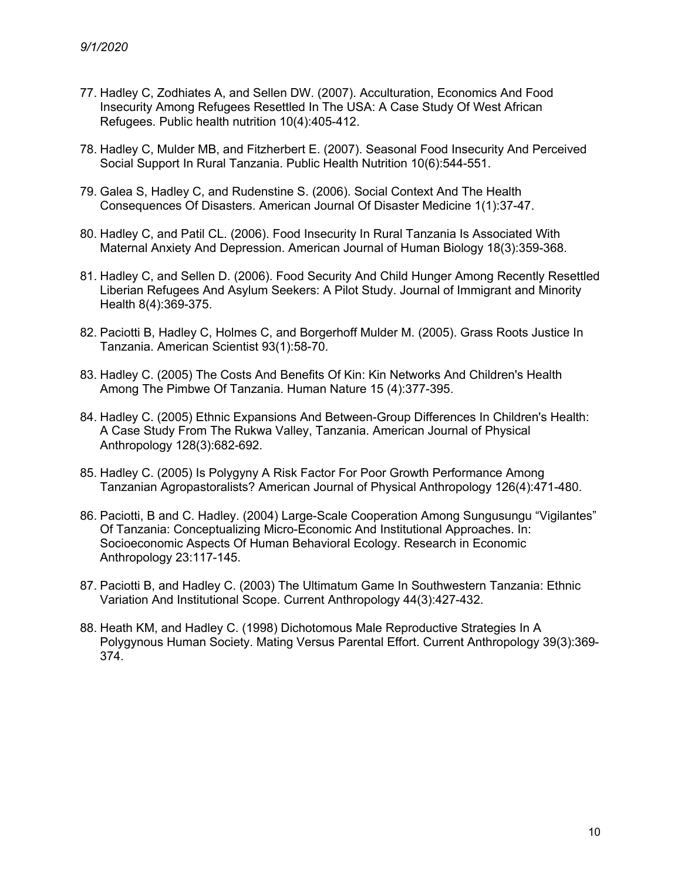- 77. Hadley C, Zodhiates A, and Sellen DW. (2007). Acculturation, Economics And Food Insecurity Among Refugees Resettled In The USA: A Case Study Of West African Refugees. Public health nutrition 10(4):405-412.
- 78. Hadley C, Mulder MB, and Fitzherbert E. (2007). Seasonal Food Insecurity And Perceived Social Support In Rural Tanzania. Public Health Nutrition 10(6):544-551.
- 79. Galea S, Hadley C, and Rudenstine S. (2006). Social Context And The Health Consequences Of Disasters. American Journal Of Disaster Medicine 1(1):37-47.
- 80. Hadley C, and Patil CL. (2006). Food Insecurity In Rural Tanzania Is Associated With Maternal Anxiety And Depression. American Journal of Human Biology 18(3):359-368.
- 81. Hadley C, and Sellen D. (2006). Food Security And Child Hunger Among Recently Resettled Liberian Refugees And Asylum Seekers: A Pilot Study. Journal of Immigrant and Minority Health 8(4):369-375.
- 82. Paciotti B, Hadley C, Holmes C, and Borgerhoff Mulder M. (2005). Grass Roots Justice In Tanzania. American Scientist 93(1):58-70.
- 83. Hadley C. (2005) The Costs And Benefits Of Kin: Kin Networks And Children's Health Among The Pimbwe Of Tanzania. Human Nature 15 (4):377-395.
- 84. Hadley C. (2005) Ethnic Expansions And Between-Group Differences In Children's Health: A Case Study From The Rukwa Valley, Tanzania. American Journal of Physical Anthropology 128(3):682-692.
- 85. Hadley C. (2005) Is Polygyny A Risk Factor For Poor Growth Performance Among Tanzanian Agropastoralists? American Journal of Physical Anthropology 126(4):471-480.
- 86. Paciotti, B and C. Hadley. (2004) Large-Scale Cooperation Among Sungusungu "Vigilantes" Of Tanzania: Conceptualizing Micro-Economic And Institutional Approaches. In: Socioeconomic Aspects Of Human Behavioral Ecology. Research in Economic Anthropology 23:117-145.
- 87. Paciotti B, and Hadley C. (2003) The Ultimatum Game In Southwestern Tanzania: Ethnic Variation And Institutional Scope. Current Anthropology 44(3):427-432.
- 88. Heath KM, and Hadley C. (1998) Dichotomous Male Reproductive Strategies In A Polygynous Human Society. Mating Versus Parental Effort. Current Anthropology 39(3):369- 374.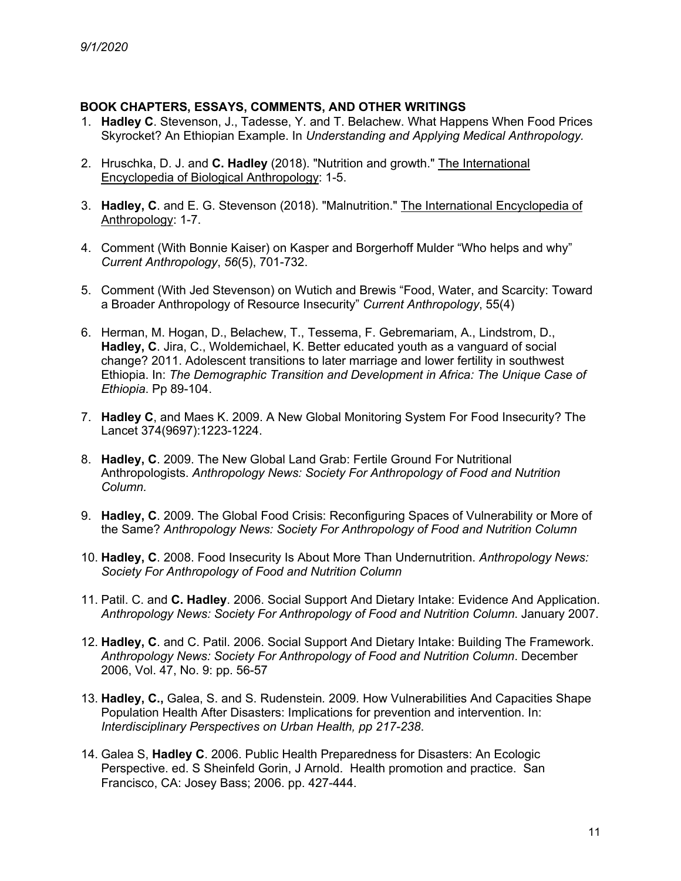# **BOOK CHAPTERS, ESSAYS, COMMENTS, AND OTHER WRITINGS**

- 1. **Hadley C**. Stevenson, J., Tadesse, Y. and T. Belachew. What Happens When Food Prices Skyrocket? An Ethiopian Example. In *Understanding and Applying Medical Anthropology.*
- 2. Hruschka, D. J. and **C. Hadley** (2018). "Nutrition and growth." The International Encyclopedia of Biological Anthropology: 1-5.
- 3. **Hadley, C**. and E. G. Stevenson (2018). "Malnutrition." The International Encyclopedia of Anthropology: 1-7.
- 4. Comment (With Bonnie Kaiser) on Kasper and Borgerhoff Mulder "Who helps and why" *Current Anthropology*, *56*(5), 701-732.
- 5. Comment (With Jed Stevenson) on Wutich and Brewis "Food, Water, and Scarcity: Toward a Broader Anthropology of Resource Insecurity" *Current Anthropology*, 55(4)
- 6. Herman, M. Hogan, D., Belachew, T., Tessema, F. Gebremariam, A., Lindstrom, D., **Hadley, C**. Jira, C., Woldemichael, K. Better educated youth as a vanguard of social change? 2011. Adolescent transitions to later marriage and lower fertility in southwest Ethiopia. In: *The Demographic Transition and Development in Africa: The Unique Case of Ethiopia*. Pp 89-104.
- 7. **Hadley C**, and Maes K. 2009. A New Global Monitoring System For Food Insecurity? The Lancet 374(9697):1223-1224.
- 8. **Hadley, C**. 2009. The New Global Land Grab: Fertile Ground For Nutritional Anthropologists. *Anthropology News: Society For Anthropology of Food and Nutrition Column.*
- 9. **Hadley, C**. 2009. The Global Food Crisis: Reconfiguring Spaces of Vulnerability or More of the Same? *Anthropology News: Society For Anthropology of Food and Nutrition Column*
- 10. **Hadley, C**. 2008. Food Insecurity Is About More Than Undernutrition. *Anthropology News: Society For Anthropology of Food and Nutrition Column*
- 11. Patil. C. and **C. Hadley**. 2006. Social Support And Dietary Intake: Evidence And Application. *Anthropology News: Society For Anthropology of Food and Nutrition Column*. January 2007.
- 12. **Hadley, C**. and C. Patil. 2006. Social Support And Dietary Intake: Building The Framework. *Anthropology News: Society For Anthropology of Food and Nutrition Column*. December 2006, Vol. 47, No. 9: pp. 56-57
- 13. **Hadley, C.,** Galea, S. and S. Rudenstein*.* 2009*.* How Vulnerabilities And Capacities Shape Population Health After Disasters: Implications for prevention and intervention. In: *Interdisciplinary Perspectives on Urban Health, pp 217-238*.
- 14. Galea S, **Hadley C**. 2006. Public Health Preparedness for Disasters: An Ecologic Perspective. ed. S Sheinfeld Gorin, J Arnold. Health promotion and practice. San Francisco, CA: Josey Bass; 2006. pp. 427-444.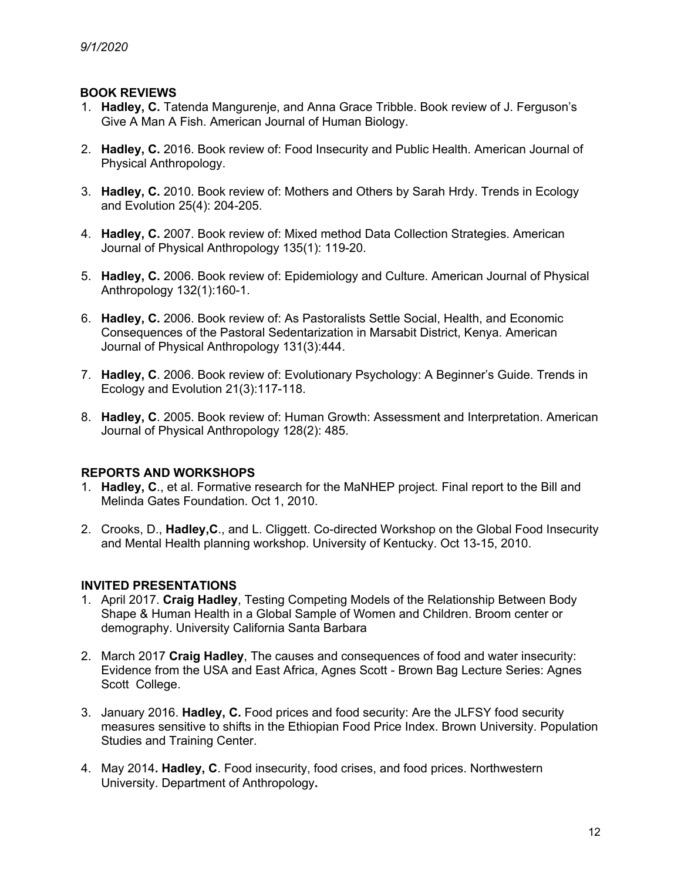# **BOOK REVIEWS**

- 1. **Hadley, C.** Tatenda Mangurenje, and Anna Grace Tribble. Book review of J. Ferguson's Give A Man A Fish. American Journal of Human Biology.
- 2. **Hadley, C.** 2016. Book review of: Food Insecurity and Public Health. American Journal of Physical Anthropology.
- 3. **Hadley, C.** 2010. Book review of: Mothers and Others by Sarah Hrdy. Trends in Ecology and Evolution 25(4): 204-205.
- 4. **Hadley, C.** 2007. Book review of: Mixed method Data Collection Strategies. American Journal of Physical Anthropology 135(1): 119-20.
- 5. **Hadley, C.** 2006. Book review of: Epidemiology and Culture. American Journal of Physical Anthropology 132(1):160-1.
- 6. **Hadley, C.** 2006. Book review of: As Pastoralists Settle Social, Health, and Economic Consequences of the Pastoral Sedentarization in Marsabit District, Kenya. American Journal of Physical Anthropology 131(3):444.
- 7. **Hadley, C**. 2006. Book review of: Evolutionary Psychology: A Beginner's Guide. Trends in Ecology and Evolution 21(3):117-118.
- 8. **Hadley, C**. 2005. Book review of: Human Growth: Assessment and Interpretation. American Journal of Physical Anthropology 128(2): 485.

## **REPORTS AND WORKSHOPS**

- 1. **Hadley, C**., et al. Formative research for the MaNHEP project*.* Final report to the Bill and Melinda Gates Foundation. Oct 1, 2010.
- 2. Crooks, D., **Hadley,C**., and L. Cliggett. Co-directed Workshop on the Global Food Insecurity and Mental Health planning workshop. University of Kentucky. Oct 13-15, 2010.

## **INVITED PRESENTATIONS**

- 1. April 2017. **Craig Hadley**, Testing Competing Models of the Relationship Between Body Shape & Human Health in a Global Sample of Women and Children. Broom center or demography. University California Santa Barbara
- 2. March 2017 **Craig Hadley**, The causes and consequences of food and water insecurity: Evidence from the USA and East Africa, Agnes Scott - Brown Bag Lecture Series: Agnes Scott College.
- 3. January 2016. **Hadley, C.** Food prices and food security: Are the JLFSY food security measures sensitive to shifts in the Ethiopian Food Price Index. Brown University. Population Studies and Training Center.
- 4. May 2014**. Hadley, C**. Food insecurity, food crises, and food prices. Northwestern University. Department of Anthropology**.**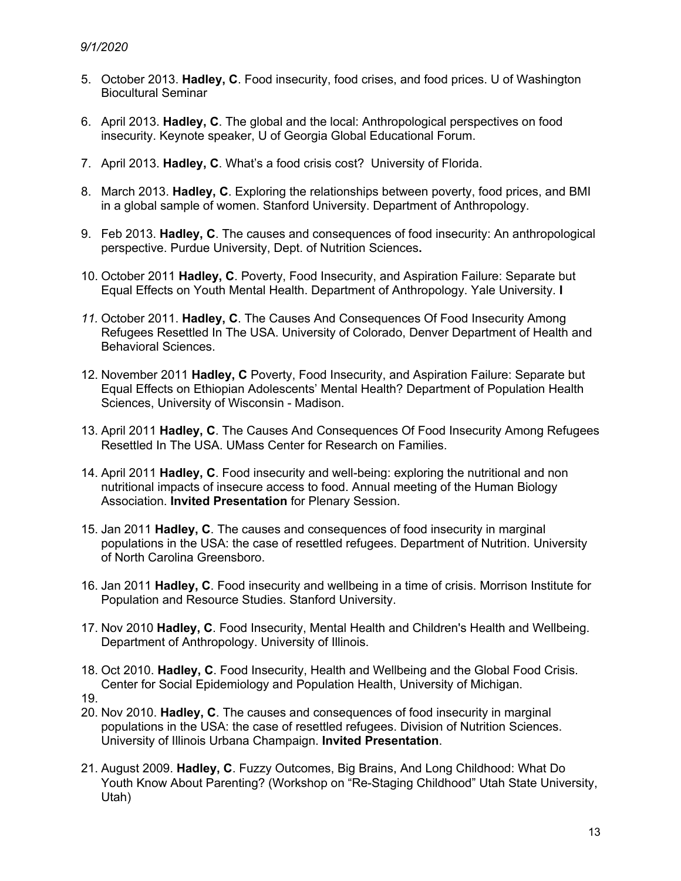- 5. October 2013. **Hadley, C**. Food insecurity, food crises, and food prices. U of Washington Biocultural Seminar
- 6. April 2013. **Hadley, C**. The global and the local: Anthropological perspectives on food insecurity. Keynote speaker, U of Georgia Global Educational Forum.
- 7. April 2013. **Hadley, C**. What's a food crisis cost? University of Florida.
- 8. March 2013. **Hadley, C**. Exploring the relationships between poverty, food prices, and BMI in a global sample of women. Stanford University. Department of Anthropology.
- 9. Feb 2013. **Hadley, C**. The causes and consequences of food insecurity: An anthropological perspective. Purdue University, Dept. of Nutrition Sciences**.**
- 10. October 2011 **Hadley, C**. Poverty, Food Insecurity, and Aspiration Failure: Separate but Equal Effects on Youth Mental Health. Department of Anthropology. Yale University. **I**
- *11.* October 2011. **Hadley, C**. The Causes And Consequences Of Food Insecurity Among Refugees Resettled In The USA. University of Colorado, Denver Department of Health and Behavioral Sciences.
- 12. November 2011 **Hadley, C** Poverty, Food Insecurity, and Aspiration Failure: Separate but Equal Effects on Ethiopian Adolescents' Mental Health? Department of Population Health Sciences, University of Wisconsin - Madison.
- 13. April 2011 **Hadley, C**. The Causes And Consequences Of Food Insecurity Among Refugees Resettled In The USA. UMass Center for Research on Families.
- 14. April 2011 **Hadley, C**. Food insecurity and well-being: exploring the nutritional and non nutritional impacts of insecure access to food. Annual meeting of the Human Biology Association. **Invited Presentation** for Plenary Session.
- 15. Jan 2011 **Hadley, C**. The causes and consequences of food insecurity in marginal populations in the USA: the case of resettled refugees. Department of Nutrition. University of North Carolina Greensboro.
- 16. Jan 2011 **Hadley, C**. Food insecurity and wellbeing in a time of crisis. Morrison Institute for Population and Resource Studies. Stanford University.
- 17. Nov 2010 **Hadley, C**. Food Insecurity, Mental Health and Children's Health and Wellbeing. Department of Anthropology. University of Illinois.
- 18. Oct 2010. **Hadley, C**. Food Insecurity, Health and Wellbeing and the Global Food Crisis. Center for Social Epidemiology and Population Health, University of Michigan.
- 19.
- 20. Nov 2010. **Hadley, C**. The causes and consequences of food insecurity in marginal populations in the USA: the case of resettled refugees. Division of Nutrition Sciences. University of Illinois Urbana Champaign. **Invited Presentation**.
- 21. August 2009. **Hadley, C**. Fuzzy Outcomes, Big Brains, And Long Childhood: What Do Youth Know About Parenting? (Workshop on "Re-Staging Childhood" Utah State University, Utah)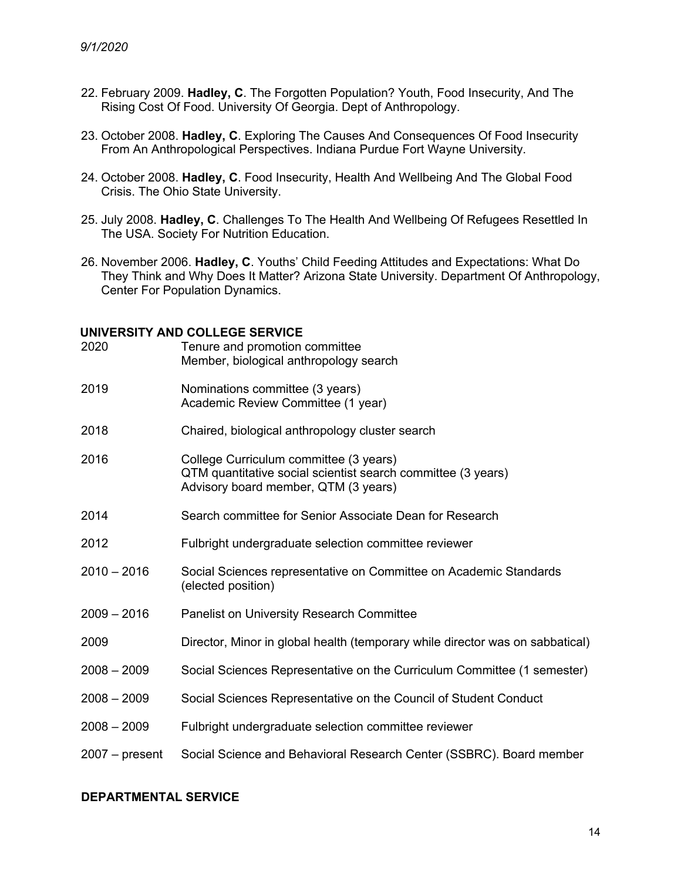- 22. February 2009. **Hadley, C**. The Forgotten Population? Youth, Food Insecurity, And The Rising Cost Of Food. University Of Georgia. Dept of Anthropology.
- 23. October 2008. **Hadley, C**. Exploring The Causes And Consequences Of Food Insecurity From An Anthropological Perspectives. Indiana Purdue Fort Wayne University.
- 24. October 2008. **Hadley, C**. Food Insecurity, Health And Wellbeing And The Global Food Crisis. The Ohio State University.
- 25. July 2008. **Hadley, C**. Challenges To The Health And Wellbeing Of Refugees Resettled In The USA. Society For Nutrition Education.
- 26. November 2006. **Hadley, C**. Youths' Child Feeding Attitudes and Expectations: What Do They Think and Why Does It Matter? Arizona State University. Department Of Anthropology, Center For Population Dynamics.

## **UNIVERSITY AND COLLEGE SERVICE**

| 2020             | Tenure and promotion committee<br>Member, biological anthropology search                                                                       |
|------------------|------------------------------------------------------------------------------------------------------------------------------------------------|
| 2019             | Nominations committee (3 years)<br>Academic Review Committee (1 year)                                                                          |
| 2018             | Chaired, biological anthropology cluster search                                                                                                |
| 2016             | College Curriculum committee (3 years)<br>QTM quantitative social scientist search committee (3 years)<br>Advisory board member, QTM (3 years) |
| 2014             | Search committee for Senior Associate Dean for Research                                                                                        |
| 2012             | Fulbright undergraduate selection committee reviewer                                                                                           |
| $2010 - 2016$    | Social Sciences representative on Committee on Academic Standards<br>(elected position)                                                        |
| $2009 - 2016$    | <b>Panelist on University Research Committee</b>                                                                                               |
| 2009             | Director, Minor in global health (temporary while director was on sabbatical)                                                                  |
| $2008 - 2009$    | Social Sciences Representative on the Curriculum Committee (1 semester)                                                                        |
| $2008 - 2009$    | Social Sciences Representative on the Council of Student Conduct                                                                               |
| $2008 - 2009$    | Fulbright undergraduate selection committee reviewer                                                                                           |
| $2007 - present$ | Social Science and Behavioral Research Center (SSBRC). Board member                                                                            |

## **DEPARTMENTAL SERVICE**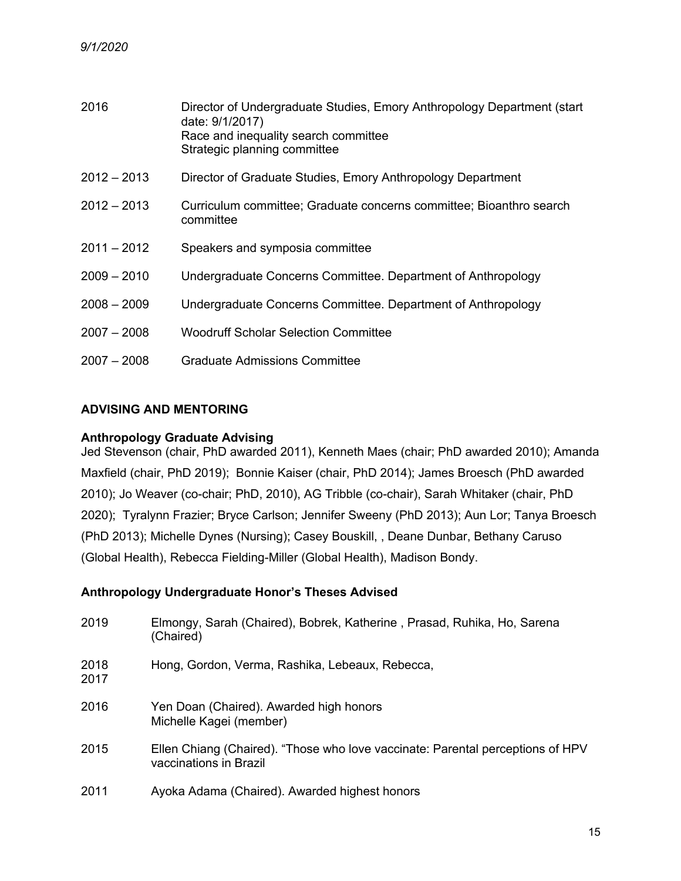| 2016          | Director of Undergraduate Studies, Emory Anthropology Department (start<br>date: 9/1/2017)<br>Race and inequality search committee<br>Strategic planning committee |
|---------------|--------------------------------------------------------------------------------------------------------------------------------------------------------------------|
| $2012 - 2013$ | Director of Graduate Studies, Emory Anthropology Department                                                                                                        |
| $2012 - 2013$ | Curriculum committee; Graduate concerns committee; Bioanthro search<br>committee                                                                                   |
| $2011 - 2012$ | Speakers and symposia committee                                                                                                                                    |
| $2009 - 2010$ | Undergraduate Concerns Committee. Department of Anthropology                                                                                                       |
| $2008 - 2009$ | Undergraduate Concerns Committee. Department of Anthropology                                                                                                       |
| $2007 - 2008$ | <b>Woodruff Scholar Selection Committee</b>                                                                                                                        |
| $2007 - 2008$ | <b>Graduate Admissions Committee</b>                                                                                                                               |

# **ADVISING AND MENTORING**

## **Anthropology Graduate Advising**

Jed Stevenson (chair, PhD awarded 2011), Kenneth Maes (chair; PhD awarded 2010); Amanda Maxfield (chair, PhD 2019); Bonnie Kaiser (chair, PhD 2014); James Broesch (PhD awarded 2010); Jo Weaver (co-chair; PhD, 2010), AG Tribble (co-chair), Sarah Whitaker (chair, PhD 2020); Tyralynn Frazier; Bryce Carlson; Jennifer Sweeny (PhD 2013); Aun Lor; Tanya Broesch (PhD 2013); Michelle Dynes (Nursing); Casey Bouskill, , Deane Dunbar, Bethany Caruso (Global Health), Rebecca Fielding-Miller (Global Health), Madison Bondy.

## **Anthropology Undergraduate Honor's Theses Advised**

| 2019         | Elmongy, Sarah (Chaired), Bobrek, Katherine, Prasad, Ruhika, Ho, Sarena<br>(Chaired)                     |
|--------------|----------------------------------------------------------------------------------------------------------|
| 2018<br>2017 | Hong, Gordon, Verma, Rashika, Lebeaux, Rebecca,                                                          |
| 2016         | Yen Doan (Chaired). Awarded high honors<br>Michelle Kagei (member)                                       |
| 2015         | Ellen Chiang (Chaired). "Those who love vaccinate: Parental perceptions of HPV<br>vaccinations in Brazil |
| 2011         | Ayoka Adama (Chaired). Awarded highest honors                                                            |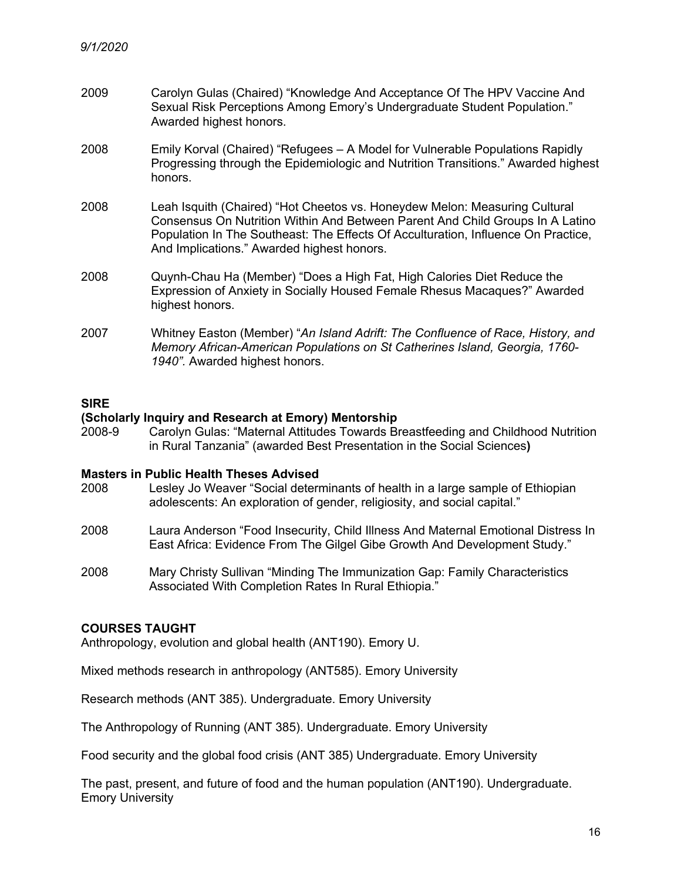- 2009 Carolyn Gulas (Chaired) "Knowledge And Acceptance Of The HPV Vaccine And Sexual Risk Perceptions Among Emory's Undergraduate Student Population." Awarded highest honors.
- 2008 Emily Korval (Chaired) "Refugees A Model for Vulnerable Populations Rapidly Progressing through the Epidemiologic and Nutrition Transitions." Awarded highest honors.
- 2008 Leah Isquith (Chaired) "Hot Cheetos vs. Honeydew Melon: Measuring Cultural Consensus On Nutrition Within And Between Parent And Child Groups In A Latino Population In The Southeast: The Effects Of Acculturation, Influence On Practice, And Implications." Awarded highest honors.
- 2008 Quynh-Chau Ha (Member) "Does a High Fat, High Calories Diet Reduce the Expression of Anxiety in Socially Housed Female Rhesus Macaques?" Awarded highest honors.
- 2007 Whitney Easton (Member) "*An Island Adrift: The Confluence of Race, History, and Memory African-American Populations on St Catherines Island, Georgia, 1760- 1940".* Awarded highest honors.

# **SIRE**

#### **(Scholarly Inquiry and Research at Emory) Mentorship**

2008-9 Carolyn Gulas: "Maternal Attitudes Towards Breastfeeding and Childhood Nutrition in Rural Tanzania" (awarded Best Presentation in the Social Sciences**)**

#### **Masters in Public Health Theses Advised**

- 2008 Lesley Jo Weaver "Social determinants of health in a large sample of Ethiopian adolescents: An exploration of gender, religiosity, and social capital."
- 2008 Laura Anderson "Food Insecurity, Child Illness And Maternal Emotional Distress In East Africa: Evidence From The Gilgel Gibe Growth And Development Study."
- 2008 Mary Christy Sullivan "Minding The Immunization Gap: Family Characteristics Associated With Completion Rates In Rural Ethiopia."

#### **COURSES TAUGHT**

Anthropology, evolution and global health (ANT190). Emory U.

Mixed methods research in anthropology (ANT585). Emory University

Research methods (ANT 385). Undergraduate. Emory University

The Anthropology of Running (ANT 385). Undergraduate. Emory University

Food security and the global food crisis (ANT 385) Undergraduate. Emory University

The past, present, and future of food and the human population (ANT190). Undergraduate. Emory University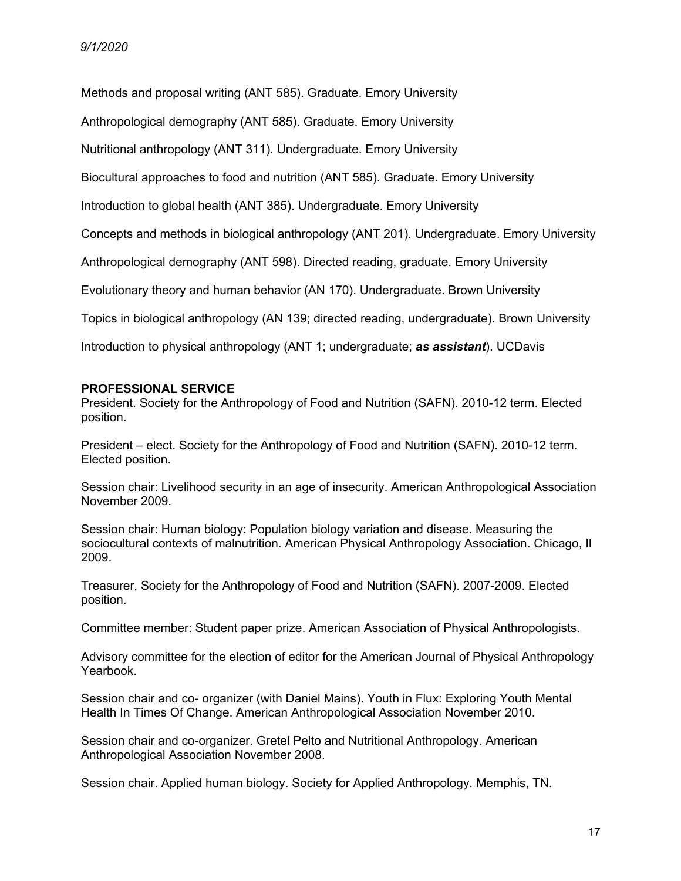Methods and proposal writing (ANT 585). Graduate. Emory University

Anthropological demography (ANT 585). Graduate. Emory University

Nutritional anthropology (ANT 311). Undergraduate. Emory University

Biocultural approaches to food and nutrition (ANT 585). Graduate. Emory University

Introduction to global health (ANT 385). Undergraduate. Emory University

Concepts and methods in biological anthropology (ANT 201). Undergraduate. Emory University

Anthropological demography (ANT 598). Directed reading, graduate. Emory University

Evolutionary theory and human behavior (AN 170). Undergraduate. Brown University

Topics in biological anthropology (AN 139; directed reading, undergraduate). Brown University

Introduction to physical anthropology (ANT 1; undergraduate; *as assistant*). UCDavis

#### **PROFESSIONAL SERVICE**

President. Society for the Anthropology of Food and Nutrition (SAFN). 2010-12 term. Elected position.

President – elect. Society for the Anthropology of Food and Nutrition (SAFN). 2010-12 term. Elected position.

Session chair: Livelihood security in an age of insecurity. American Anthropological Association November 2009.

Session chair: Human biology: Population biology variation and disease. Measuring the sociocultural contexts of malnutrition. American Physical Anthropology Association. Chicago, Il 2009.

Treasurer, Society for the Anthropology of Food and Nutrition (SAFN). 2007-2009. Elected position.

Committee member: Student paper prize. American Association of Physical Anthropologists.

Advisory committee for the election of editor for the American Journal of Physical Anthropology Yearbook.

Session chair and co- organizer (with Daniel Mains). Youth in Flux: Exploring Youth Mental Health In Times Of Change. American Anthropological Association November 2010.

Session chair and co-organizer. Gretel Pelto and Nutritional Anthropology. American Anthropological Association November 2008.

Session chair. Applied human biology. Society for Applied Anthropology. Memphis, TN.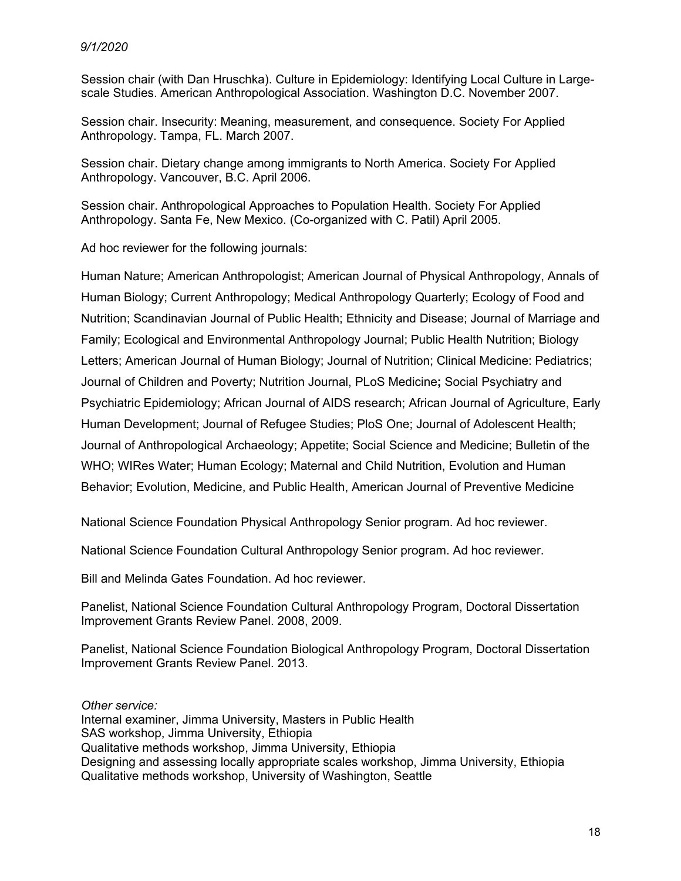## *9/1/2020*

Session chair (with Dan Hruschka). Culture in Epidemiology: Identifying Local Culture in Largescale Studies. American Anthropological Association. Washington D.C. November 2007.

Session chair. Insecurity: Meaning, measurement, and consequence. Society For Applied Anthropology. Tampa, FL. March 2007.

Session chair. Dietary change among immigrants to North America. Society For Applied Anthropology. Vancouver, B.C. April 2006.

Session chair. Anthropological Approaches to Population Health. Society For Applied Anthropology. Santa Fe, New Mexico. (Co-organized with C. Patil) April 2005.

Ad hoc reviewer for the following journals:

Human Nature; American Anthropologist; American Journal of Physical Anthropology, Annals of Human Biology; Current Anthropology; Medical Anthropology Quarterly; Ecology of Food and Nutrition; Scandinavian Journal of Public Health; Ethnicity and Disease; Journal of Marriage and Family; Ecological and Environmental Anthropology Journal; Public Health Nutrition; Biology Letters; American Journal of Human Biology; Journal of Nutrition; Clinical Medicine: Pediatrics; Journal of Children and Poverty; Nutrition Journal, PLoS Medicine**;** Social Psychiatry and Psychiatric Epidemiology; African Journal of AIDS research; African Journal of Agriculture, Early Human Development; Journal of Refugee Studies; PloS One; Journal of Adolescent Health; Journal of Anthropological Archaeology; Appetite; Social Science and Medicine; Bulletin of the WHO; WIRes Water; Human Ecology; Maternal and Child Nutrition, Evolution and Human Behavior; Evolution, Medicine, and Public Health, American Journal of Preventive Medicine

National Science Foundation Physical Anthropology Senior program. Ad hoc reviewer.

National Science Foundation Cultural Anthropology Senior program. Ad hoc reviewer.

Bill and Melinda Gates Foundation. Ad hoc reviewer.

Panelist, National Science Foundation Cultural Anthropology Program, Doctoral Dissertation Improvement Grants Review Panel. 2008, 2009.

Panelist, National Science Foundation Biological Anthropology Program, Doctoral Dissertation Improvement Grants Review Panel. 2013.

*Other service:*  Internal examiner, Jimma University, Masters in Public Health SAS workshop, Jimma University, Ethiopia Qualitative methods workshop, Jimma University, Ethiopia Designing and assessing locally appropriate scales workshop, Jimma University, Ethiopia Qualitative methods workshop, University of Washington, Seattle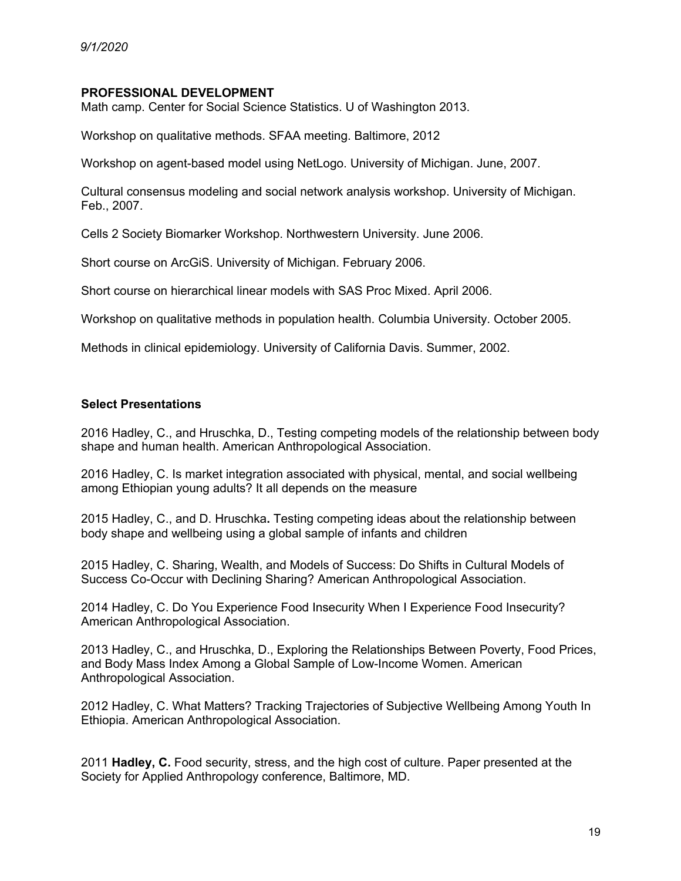### **PROFESSIONAL DEVELOPMENT**

Math camp. Center for Social Science Statistics. U of Washington 2013.

Workshop on qualitative methods. SFAA meeting. Baltimore, 2012

Workshop on agent-based model using NetLogo. University of Michigan. June, 2007.

Cultural consensus modeling and social network analysis workshop. University of Michigan. Feb., 2007.

Cells 2 Society Biomarker Workshop. Northwestern University. June 2006.

Short course on ArcGiS. University of Michigan. February 2006.

Short course on hierarchical linear models with SAS Proc Mixed. April 2006.

Workshop on qualitative methods in population health. Columbia University. October 2005.

Methods in clinical epidemiology. University of California Davis. Summer, 2002.

## **Select Presentations**

2016 Hadley, C., and Hruschka, D., Testing competing models of the relationship between body shape and human health. American Anthropological Association.

2016 Hadley, C. Is market integration associated with physical, mental, and social wellbeing among Ethiopian young adults? It all depends on the measure

2015 Hadley, C., and D. Hruschka**.** Testing competing ideas about the relationship between body shape and wellbeing using a global sample of infants and children

2015 Hadley, C. Sharing, Wealth, and Models of Success: Do Shifts in Cultural Models of Success Co-Occur with Declining Sharing? American Anthropological Association.

2014 Hadley, C. Do You Experience Food Insecurity When I Experience Food Insecurity? American Anthropological Association.

2013 Hadley, C., and Hruschka, D., Exploring the Relationships Between Poverty, Food Prices, and Body Mass Index Among a Global Sample of Low-Income Women. American Anthropological Association.

2012 Hadley, C. What Matters? Tracking Trajectories of Subjective Wellbeing Among Youth In Ethiopia. American Anthropological Association.

2011 **Hadley, C.** Food security, stress, and the high cost of culture. Paper presented at the Society for Applied Anthropology conference, Baltimore, MD.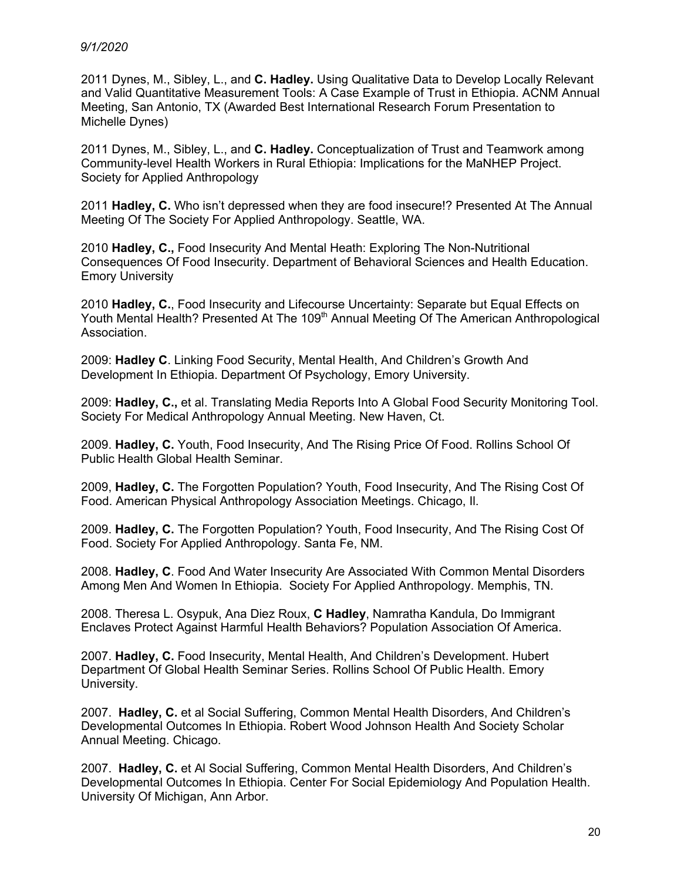### *9/1/2020*

2011 Dynes, M., Sibley, L., and **C. Hadley.** Using Qualitative Data to Develop Locally Relevant and Valid Quantitative Measurement Tools: A Case Example of Trust in Ethiopia. ACNM Annual Meeting, San Antonio, TX (Awarded Best International Research Forum Presentation to Michelle Dynes)

2011 Dynes, M., Sibley, L., and **C. Hadley.** Conceptualization of Trust and Teamwork among Community-level Health Workers in Rural Ethiopia: Implications for the MaNHEP Project. Society for Applied Anthropology

2011 **Hadley, C.** Who isn't depressed when they are food insecure!? Presented At The Annual Meeting Of The Society For Applied Anthropology. Seattle, WA.

2010 **Hadley, C.,** Food Insecurity And Mental Heath: Exploring The Non-Nutritional Consequences Of Food Insecurity. Department of Behavioral Sciences and Health Education. Emory University

2010 **Hadley, C.**, Food Insecurity and Lifecourse Uncertainty: Separate but Equal Effects on Youth Mental Health? Presented At The 109<sup>th</sup> Annual Meeting Of The American Anthropological Association.

2009: **Hadley C**. Linking Food Security, Mental Health, And Children's Growth And Development In Ethiopia. Department Of Psychology, Emory University.

2009: **Hadley, C.,** et al. Translating Media Reports Into A Global Food Security Monitoring Tool. Society For Medical Anthropology Annual Meeting. New Haven, Ct.

2009. **Hadley, C.** Youth, Food Insecurity, And The Rising Price Of Food. Rollins School Of Public Health Global Health Seminar.

2009, **Hadley, C.** The Forgotten Population? Youth, Food Insecurity, And The Rising Cost Of Food. American Physical Anthropology Association Meetings. Chicago, Il.

2009. **Hadley, C.** The Forgotten Population? Youth, Food Insecurity, And The Rising Cost Of Food. Society For Applied Anthropology. Santa Fe, NM.

2008. **Hadley, C**. Food And Water Insecurity Are Associated With Common Mental Disorders Among Men And Women In Ethiopia. Society For Applied Anthropology. Memphis, TN.

2008. Theresa L. Osypuk, Ana Diez Roux, **C Hadley**, Namratha Kandula, Do Immigrant Enclaves Protect Against Harmful Health Behaviors? Population Association Of America.

2007. **Hadley, C.** Food Insecurity, Mental Health, And Children's Development. Hubert Department Of Global Health Seminar Series. Rollins School Of Public Health. Emory University.

2007. **Hadley, C.** et al Social Suffering, Common Mental Health Disorders, And Children's Developmental Outcomes In Ethiopia. Robert Wood Johnson Health And Society Scholar Annual Meeting. Chicago.

2007. **Hadley, C.** et Al Social Suffering, Common Mental Health Disorders, And Children's Developmental Outcomes In Ethiopia. Center For Social Epidemiology And Population Health. University Of Michigan, Ann Arbor.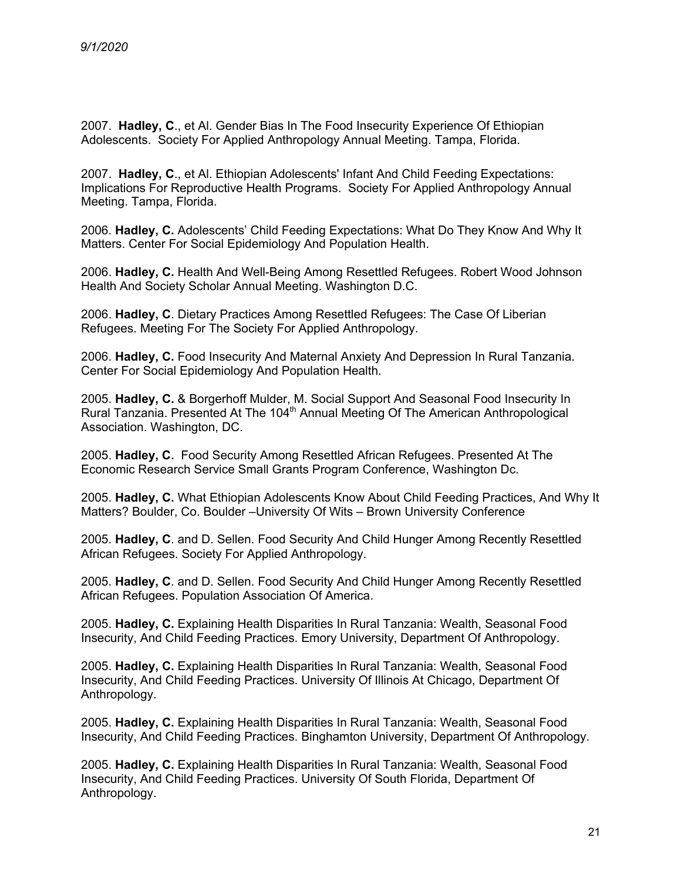2007. **Hadley, C**., et Al. Gender Bias In The Food Insecurity Experience Of Ethiopian Adolescents. Society For Applied Anthropology Annual Meeting. Tampa, Florida.

2007. **Hadley, C**., et Al. Ethiopian Adolescents' Infant And Child Feeding Expectations: Implications For Reproductive Health Programs. Society For Applied Anthropology Annual Meeting. Tampa, Florida.

2006. **Hadley, C.** Adolescents' Child Feeding Expectations: What Do They Know And Why It Matters. Center For Social Epidemiology And Population Health.

2006. **Hadley, C.** Health And Well-Being Among Resettled Refugees. Robert Wood Johnson Health And Society Scholar Annual Meeting. Washington D.C.

2006. **Hadley, C**. Dietary Practices Among Resettled Refugees: The Case Of Liberian Refugees. Meeting For The Society For Applied Anthropology.

2006. **Hadley, C.** Food Insecurity And Maternal Anxiety And Depression In Rural Tanzania. Center For Social Epidemiology And Population Health.

2005. **Hadley, C.** & Borgerhoff Mulder, M. Social Support And Seasonal Food Insecurity In Rural Tanzania. Presented At The 104<sup>th</sup> Annual Meeting Of The American Anthropological Association. Washington, DC.

2005. **Hadley, C.** Food Security Among Resettled African Refugees. Presented At The Economic Research Service Small Grants Program Conference, Washington Dc.

2005. **Hadley, C.** What Ethiopian Adolescents Know About Child Feeding Practices, And Why It Matters? Boulder, Co. Boulder –University Of Wits – Brown University Conference

2005. **Hadley, C**. and D. Sellen. Food Security And Child Hunger Among Recently Resettled African Refugees. Society For Applied Anthropology.

2005. **Hadley, C**. and D. Sellen. Food Security And Child Hunger Among Recently Resettled African Refugees. Population Association Of America.

2005. **Hadley, C.** Explaining Health Disparities In Rural Tanzania: Wealth, Seasonal Food Insecurity, And Child Feeding Practices. Emory University, Department Of Anthropology.

2005. **Hadley, C.** Explaining Health Disparities In Rural Tanzania: Wealth, Seasonal Food Insecurity, And Child Feeding Practices. University Of Illinois At Chicago, Department Of Anthropology.

2005. **Hadley, C.** Explaining Health Disparities In Rural Tanzania: Wealth, Seasonal Food Insecurity, And Child Feeding Practices. Binghamton University, Department Of Anthropology.

2005. **Hadley, C.** Explaining Health Disparities In Rural Tanzania: Wealth, Seasonal Food Insecurity, And Child Feeding Practices. University Of South Florida, Department Of Anthropology.